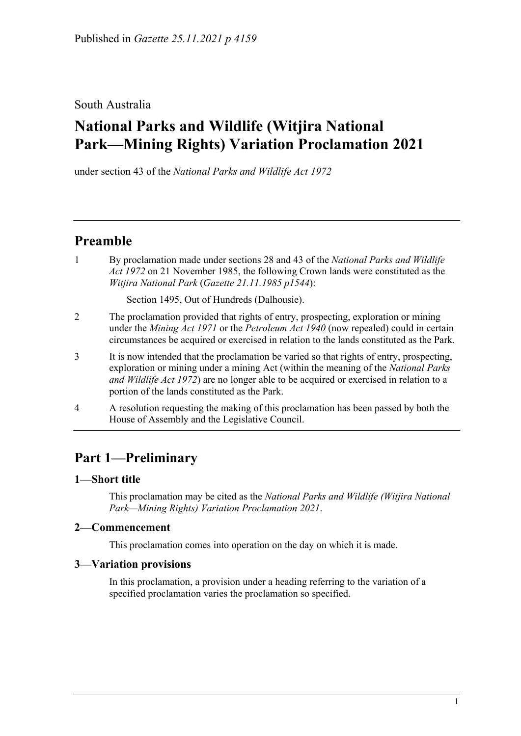## South Australia

# **National Parks and Wildlife (Witjira National Park—Mining Rights) Variation Proclamation 2021**

under section 43 of the *National Parks and Wildlife Act 1972*

# **Preamble**

1 By proclamation made under sections 28 and 43 of the *[National Parks and Wildlife](http://www.legislation.sa.gov.au/index.aspx?action=legref&type=act&legtitle=National%20Parks%20and%20Wildlife%20Act%201972)  Act [1972](http://www.legislation.sa.gov.au/index.aspx?action=legref&type=act&legtitle=National%20Parks%20and%20Wildlife%20Act%201972)* on 21 November 1985, the following Crown lands were constituted as the *Witjira National Park* (*Gazette 21.11.1985 p1544*):

Section 1495, Out of Hundreds (Dalhousie).

- 2 The proclamation provided that rights of entry, prospecting, exploration or mining under the *[Mining Act](http://www.legislation.sa.gov.au/index.aspx?action=legref&type=act&legtitle=Mining%20Act%201971) 1971* or the *[Petroleum Act](http://www.legislation.sa.gov.au/index.aspx?action=legref&type=act&legtitle=Petroleum%20Act%201940) 1940* (now repealed) could in certain circumstances be acquired or exercised in relation to the lands constituted as the Park.
- 3 It is now intended that the proclamation be varied so that rights of entry, prospecting, exploration or mining under a mining Act (within the meaning of the *[National Parks](http://www.legislation.sa.gov.au/index.aspx?action=legref&type=act&legtitle=National%20Parks%20and%20Wildlife%20Act%201972)  [and Wildlife Act](http://www.legislation.sa.gov.au/index.aspx?action=legref&type=act&legtitle=National%20Parks%20and%20Wildlife%20Act%201972) 1972*) are no longer able to be acquired or exercised in relation to a portion of the lands constituted as the Park.
- 4 A resolution requesting the making of this proclamation has been passed by both the House of Assembly and the Legislative Council.

# **Part 1—Preliminary**

### **1—Short title**

This proclamation may be cited as the *National Parks and Wildlife (Witjira National Park—Mining Rights) Variation Proclamation 2021*.

### **2—Commencement**

This proclamation comes into operation on the day on which it is made.

### **3—Variation provisions**

In this proclamation, a provision under a heading referring to the variation of a specified proclamation varies the proclamation so specified.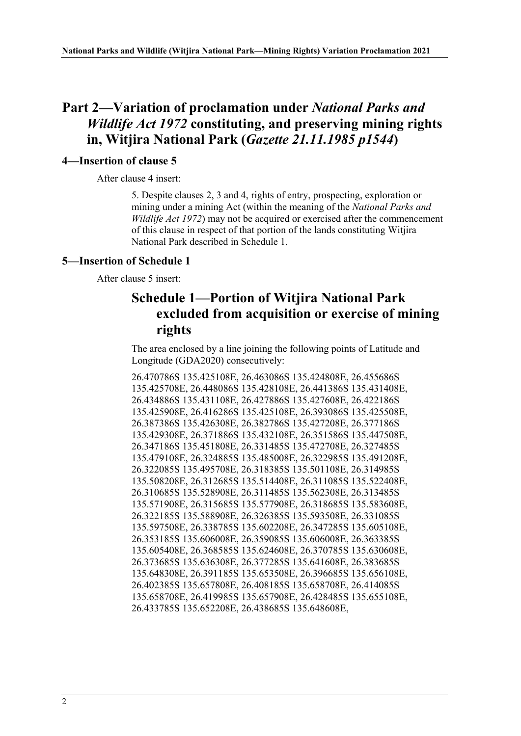## **Part 2—Variation of proclamation under** *National Parks and Wildlife Act 1972* **constituting, and preserving mining rights in, Witjira National Park (***Gazette 21.11.1985 p1544***)**

#### **4—Insertion of clause 5**

After clause 4 insert:

5. Despite clauses 2, 3 and 4, rights of entry, prospecting, exploration or mining under a mining Act (within the meaning of the *[National Parks and](http://www.legislation.sa.gov.au/index.aspx?action=legref&type=act&legtitle=National%20Parks%20and%20Wildlife%20Act%201972)  [Wildlife Act](http://www.legislation.sa.gov.au/index.aspx?action=legref&type=act&legtitle=National%20Parks%20and%20Wildlife%20Act%201972) 1972*) may not be acquired or exercised after the commencement of this clause in respect of that portion of the lands constituting Witjira National Park described in Schedule 1.

#### **5—Insertion of Schedule 1**

After clause 5 insert:

## **Schedule 1—Portion of Witjira National Park excluded from acquisition or exercise of mining rights**

The area enclosed by a line joining the following points of Latitude and Longitude (GDA2020) consecutively:

26.470786S 135.425108E, 26.463086S 135.424808E, 26.455686S 135.425708E, 26.448086S 135.428108E, 26.441386S 135.431408E, 26.434886S 135.431108E, 26.427886S 135.427608E, 26.422186S 135.425908E, 26.416286S 135.425108E, 26.393086S 135.425508E, 26.387386S 135.426308E, 26.382786S 135.427208E, 26.377186S 135.429308E, 26.371886S 135.432108E, 26.351586S 135.447508E, 26.347186S 135.451808E, 26.331485S 135.472708E, 26.327485S 135.479108E, 26.324885S 135.485008E, 26.322985S 135.491208E, 26.322085S 135.495708E, 26.318385S 135.501108E, 26.314985S 135.508208E, 26.312685S 135.514408E, 26.311085S 135.522408E, 26.310685S 135.528908E, 26.311485S 135.562308E, 26.313485S 135.571908E, 26.315685S 135.577908E, 26.318685S 135.583608E, 26.322185S 135.588908E, 26.326385S 135.593508E, 26.331085S 135.597508E, 26.338785S 135.602208E, 26.347285S 135.605108E, 26.353185S 135.606008E, 26.359085S 135.606008E, 26.363385S 135.605408E, 26.368585S 135.624608E, 26.370785S 135.630608E, 26.373685S 135.636308E, 26.377285S 135.641608E, 26.383685S 135.648308E, 26.391185S 135.653508E, 26.396685S 135.656108E, 26.402385S 135.657808E, 26.408185S 135.658708E, 26.414085S 135.658708E, 26.419985S 135.657908E, 26.428485S 135.655108E, 26.433785S 135.652208E, 26.438685S 135.648608E,